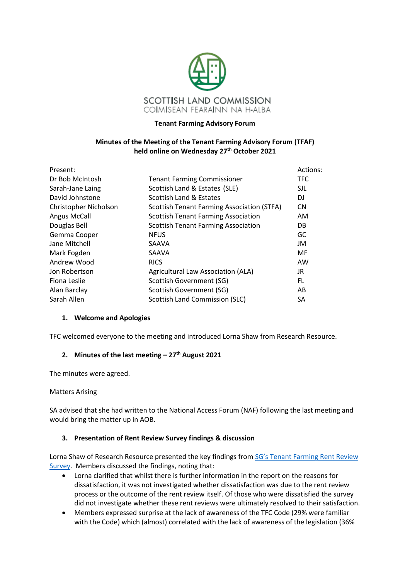

#### **Tenant Farming Advisory Forum**

### **Minutes of the Meeting of the Tenant Farming Advisory Forum (TFAF) held online on Wednesday 27th October 2021**

| Present:              |                                                   | Actions:   |
|-----------------------|---------------------------------------------------|------------|
| Dr Bob McIntosh       | <b>Tenant Farming Commissioner</b>                | <b>TFC</b> |
| Sarah-Jane Laing      | Scottish Land & Estates (SLE)                     | <b>SJL</b> |
| David Johnstone       | Scottish Land & Estates                           | DJ         |
| Christopher Nicholson | <b>Scottish Tenant Farming Association (STFA)</b> | <b>CN</b>  |
| <b>Angus McCall</b>   | <b>Scottish Tenant Farming Association</b>        | AM         |
| Douglas Bell          | <b>Scottish Tenant Farming Association</b>        | DB.        |
| Gemma Cooper          | <b>NFUS</b>                                       | GC         |
| Jane Mitchell         | SAAVA                                             | JM         |
| Mark Fogden           | SAAVA                                             | MF         |
| Andrew Wood           | <b>RICS</b>                                       | AW         |
| Jon Robertson         | Agricultural Law Association (ALA)                | JR.        |
| Fiona Leslie          | Scottish Government (SG)                          | FL.        |
| Alan Barclay          | Scottish Government (SG)                          | AB         |
| Sarah Allen           | <b>Scottish Land Commission (SLC)</b>             | SA         |

#### **1. Welcome and Apologies**

TFC welcomed everyone to the meeting and introduced Lorna Shaw from Research Resource.

# **2. Minutes of the last meeting – 27 th August 2021**

The minutes were agreed.

#### Matters Arising

SA advised that she had written to the National Access Forum (NAF) following the last meeting and would bring the matter up in AOB.

#### **3. Presentation of Rent Review Survey findings & discussion**

Lorna Shaw of Research Resource presented the key findings from SG's [Tenant Farming Rent Review](https://www.gov.scot/publications/tenant-farming-rent-review-survey-final-report/)  [Survey.](https://www.gov.scot/publications/tenant-farming-rent-review-survey-final-report/) Members discussed the findings, noting that:

- Lorna clarified that whilst there is further information in the report on the reasons for dissatisfaction, it was not investigated whether dissatisfaction was due to the rent review process or the outcome of the rent review itself. Of those who were dissatisfied the survey did not investigate whether these rent reviews were ultimately resolved to their satisfaction.
- Members expressed surprise at the lack of awareness of the TFC Code (29% were familiar with the Code) which (almost) correlated with the lack of awareness of the legislation (36%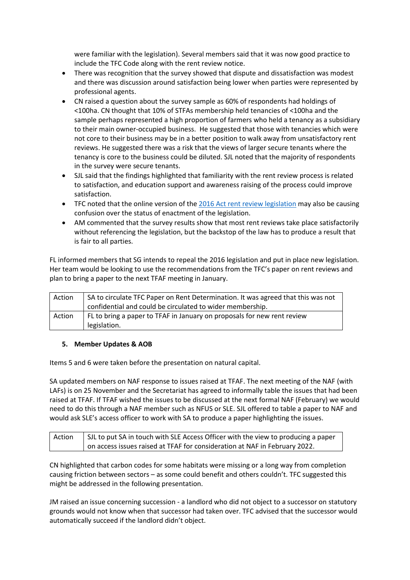were familiar with the legislation). Several members said that it was now good practice to include the TFC Code along with the rent review notice.

- There was recognition that the survey showed that dispute and dissatisfaction was modest and there was discussion around satisfaction being lower when parties were represented by professional agents.
- CN raised a question about the survey sample as 60% of respondents had holdings of <100ha. CN thought that 10% of STFAs membership held tenancies of <100ha and the sample perhaps represented a high proportion of farmers who held a tenancy as a subsidiary to their main owner-occupied business. He suggested that those with tenancies which were not core to their business may be in a better position to walk away from unsatisfactory rent reviews. He suggested there was a risk that the views of larger secure tenants where the tenancy is core to the business could be diluted. SJL noted that the majority of respondents in the survey were secure tenants.
- SJL said that the findings highlighted that familiarity with the rent review process is related to satisfaction, and education support and awareness raising of the process could improve satisfaction.
- TFC noted that the online version of th[e 2016 Act rent review legislation](https://www.legislation.gov.uk/asp/2016/18/part/10/chapter/5) may also be causing confusion over the status of enactment of the legislation.
- AM commented that the survey results show that most rent reviews take place satisfactorily without referencing the legislation, but the backstop of the law has to produce a result that is fair to all parties.

FL informed members that SG intends to repeal the 2016 legislation and put in place new legislation. Her team would be looking to use the recommendations from the TFC's paper on rent reviews and plan to bring a paper to the next TFAF meeting in January.

| Action | SA to circulate TFC Paper on Rent Determination. It was agreed that this was not<br>confidential and could be circulated to wider membership. |
|--------|-----------------------------------------------------------------------------------------------------------------------------------------------|
| Action | FL to bring a paper to TFAF in January on proposals for new rent review<br>legislation.                                                       |

## **5. Member Updates & AOB**

Items 5 and 6 were taken before the presentation on natural capital.

SA updated members on NAF response to issues raised at TFAF. The next meeting of the NAF (with LAFs) is on 25 November and the Secretariat has agreed to informally table the issues that had been raised at TFAF. If TFAF wished the issues to be discussed at the next formal NAF (February) we would need to do this through a NAF member such as NFUS or SLE. SJL offered to table a paper to NAF and would ask SLE's access officer to work with SA to produce a paper highlighting the issues.

| Action | SJL to put SA in touch with SLE Access Officer with the view to producing a paper |
|--------|-----------------------------------------------------------------------------------|
|        | on access issues raised at TFAF for consideration at NAF in February 2022.        |

CN highlighted that carbon codes for some habitats were missing or a long way from completion causing friction between sectors – as some could benefit and others couldn't. TFC suggested this might be addressed in the following presentation.

JM raised an issue concerning succession - a landlord who did not object to a successor on statutory grounds would not know when that successor had taken over. TFC advised that the successor would automatically succeed if the landlord didn't object.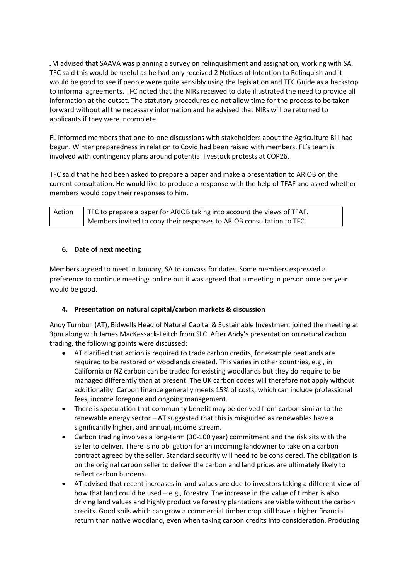JM advised that SAAVA was planning a survey on relinquishment and assignation, working with SA. TFC said this would be useful as he had only received 2 Notices of Intention to Relinquish and it would be good to see if people were quite sensibly using the legislation and TFC Guide as a backstop to informal agreements. TFC noted that the NIRs received to date illustrated the need to provide all information at the outset. The statutory procedures do not allow time for the process to be taken forward without all the necessary information and he advised that NIRs will be returned to applicants if they were incomplete.

FL informed members that one-to-one discussions with stakeholders about the Agriculture Bill had begun. Winter preparedness in relation to Covid had been raised with members. FL's team is involved with contingency plans around potential livestock protests at COP26.

TFC said that he had been asked to prepare a paper and make a presentation to ARIOB on the current consultation. He would like to produce a response with the help of TFAF and asked whether members would copy their responses to him.

| Action | TFC to prepare a paper for ARIOB taking into account the views of TFAF. |
|--------|-------------------------------------------------------------------------|
|        | Members invited to copy their responses to ARIOB consultation to TFC.   |

## **6. Date of next meeting**

Members agreed to meet in January, SA to canvass for dates. Some members expressed a preference to continue meetings online but it was agreed that a meeting in person once per year would be good.

## **4. Presentation on natural capital/carbon markets & discussion**

Andy Turnbull (AT), Bidwells Head of Natural Capital & Sustainable Investment joined the meeting at 3pm along with James MacKessack-Leitch from SLC. After Andy's presentation on natural carbon trading, the following points were discussed:

- AT clarified that action is required to trade carbon credits, for example peatlands are required to be restored or woodlands created. This varies in other countries, e.g., in California or NZ carbon can be traded for existing woodlands but they do require to be managed differently than at present. The UK carbon codes will therefore not apply without additionality. Carbon finance generally meets 15% of costs, which can include professional fees, income foregone and ongoing management.
- There is speculation that community benefit may be derived from carbon similar to the renewable energy sector – AT suggested that this is misguided as renewables have a significantly higher, and annual, income stream.
- Carbon trading involves a long-term (30-100 year) commitment and the risk sits with the seller to deliver. There is no obligation for an incoming landowner to take on a carbon contract agreed by the seller. Standard security will need to be considered. The obligation is on the original carbon seller to deliver the carbon and land prices are ultimately likely to reflect carbon burdens.
- AT advised that recent increases in land values are due to investors taking a different view of how that land could be used  $-$  e.g., forestry. The increase in the value of timber is also driving land values and highly productive forestry plantations are viable without the carbon credits. Good soils which can grow a commercial timber crop still have a higher financial return than native woodland, even when taking carbon credits into consideration. Producing